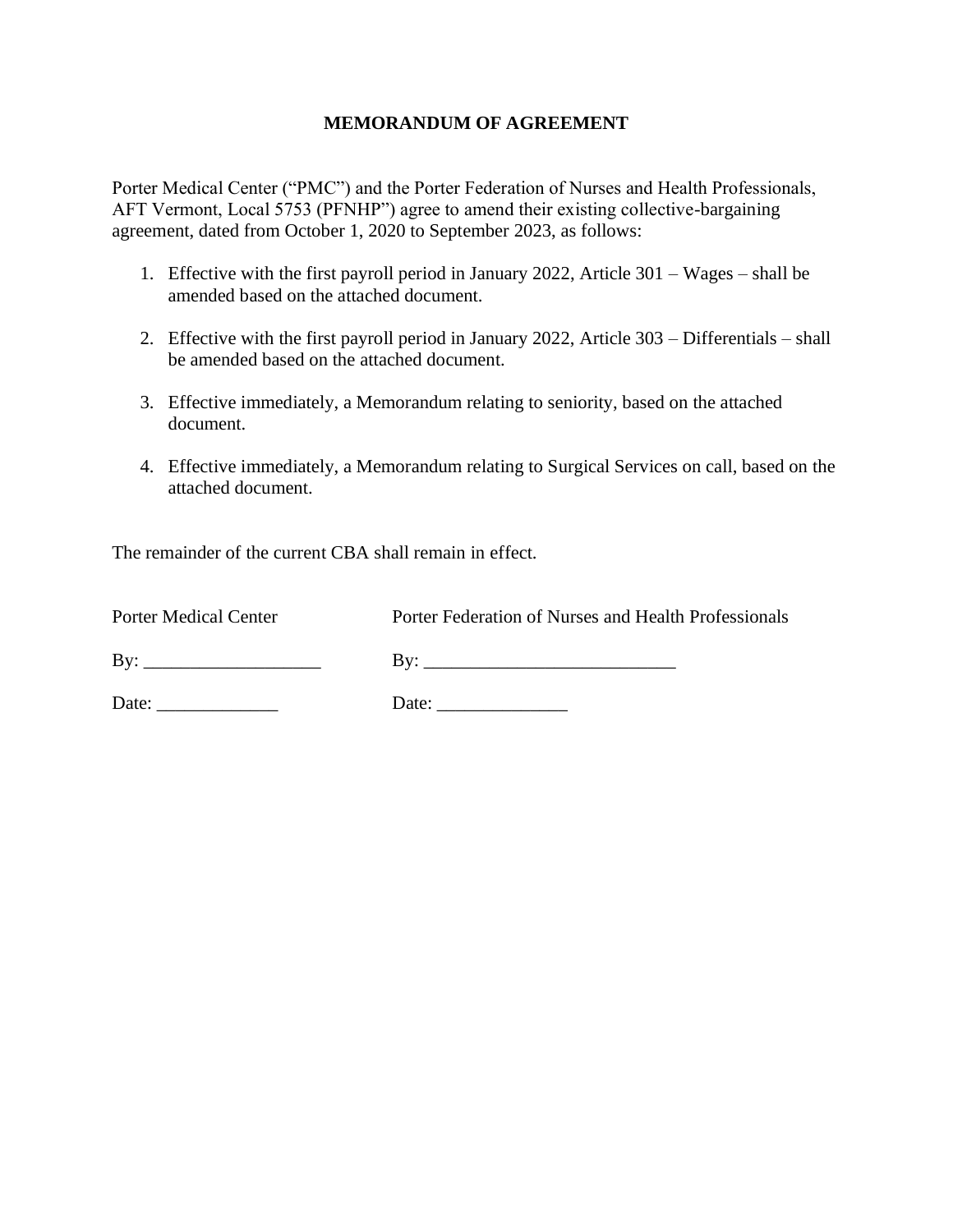#### **MEMORANDUM OF AGREEMENT**

Porter Medical Center ("PMC") and the Porter Federation of Nurses and Health Professionals, AFT Vermont, Local 5753 (PFNHP") agree to amend their existing collective-bargaining agreement, dated from October 1, 2020 to September 2023, as follows:

- 1. Effective with the first payroll period in January 2022, Article 301 Wages shall be amended based on the attached document.
- 2. Effective with the first payroll period in January 2022, Article 303 Differentials shall be amended based on the attached document.
- 3. Effective immediately, a Memorandum relating to seniority, based on the attached document.
- 4. Effective immediately, a Memorandum relating to Surgical Services on call, based on the attached document.

The remainder of the current CBA shall remain in effect.

Porter Medical Center **Porter Federation of Nurses and Health Professionals** 

By:  $\Box$ 

Date: \_\_\_\_\_\_\_\_\_\_\_\_\_ Date: \_\_\_\_\_\_\_\_\_\_\_\_\_\_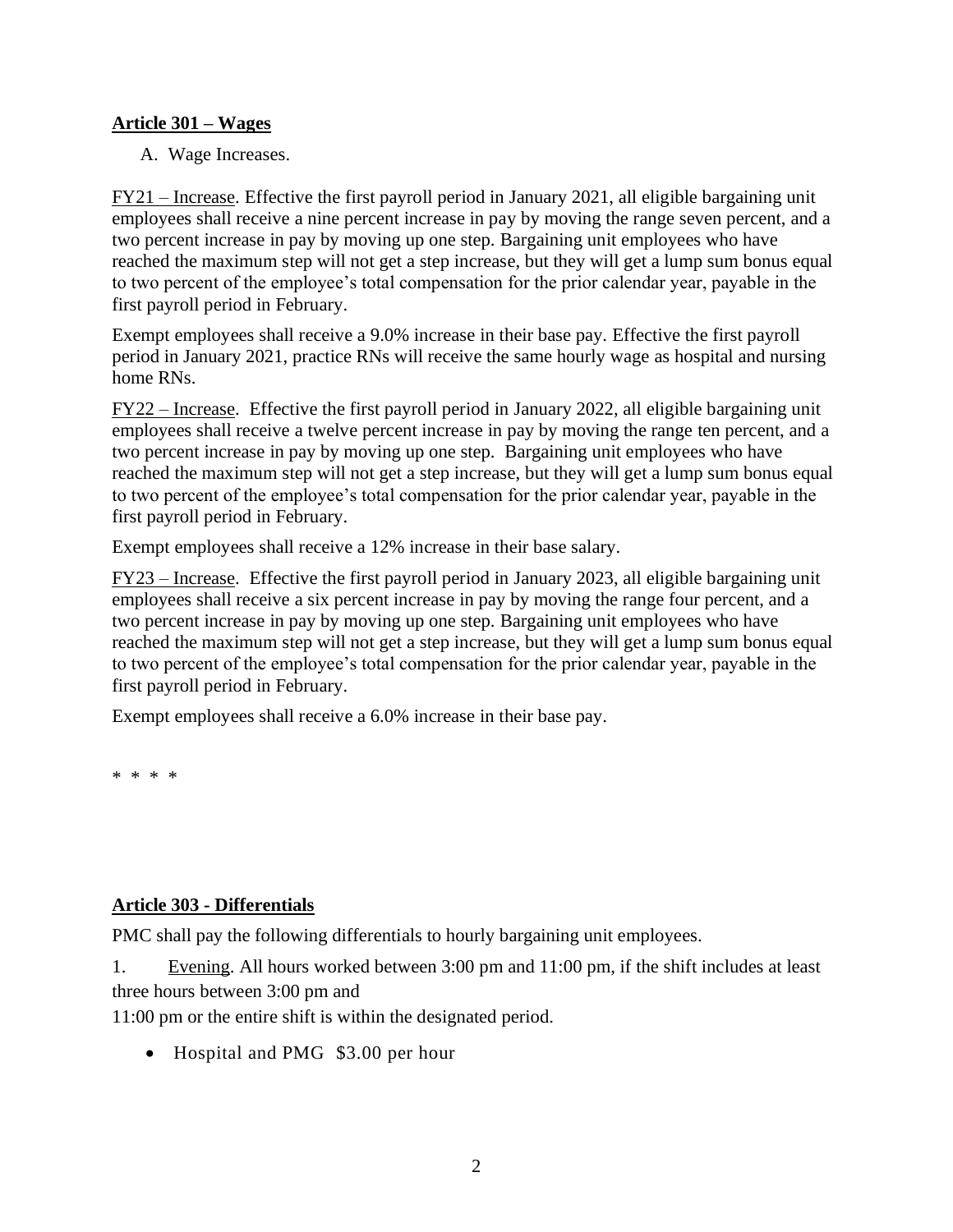#### **Article 301 – Wages**

A. Wage Increases.

FY21 – Increase. Effective the first payroll period in January 2021, all eligible bargaining unit employees shall receive a nine percent increase in pay by moving the range seven percent, and a two percent increase in pay by moving up one step. Bargaining unit employees who have reached the maximum step will not get a step increase, but they will get a lump sum bonus equal to two percent of the employee's total compensation for the prior calendar year, payable in the first payroll period in February.

Exempt employees shall receive a 9.0% increase in their base pay. Effective the first payroll period in January 2021, practice RNs will receive the same hourly wage as hospital and nursing home RNs.

FY22 – Increase. Effective the first payroll period in January 2022, all eligible bargaining unit employees shall receive a twelve percent increase in pay by moving the range ten percent, and a two percent increase in pay by moving up one step. Bargaining unit employees who have reached the maximum step will not get a step increase, but they will get a lump sum bonus equal to two percent of the employee's total compensation for the prior calendar year, payable in the first payroll period in February.

Exempt employees shall receive a 12% increase in their base salary.

FY23 – Increase. Effective the first payroll period in January 2023, all eligible bargaining unit employees shall receive a six percent increase in pay by moving the range four percent, and a two percent increase in pay by moving up one step. Bargaining unit employees who have reached the maximum step will not get a step increase, but they will get a lump sum bonus equal to two percent of the employee's total compensation for the prior calendar year, payable in the first payroll period in February.

Exempt employees shall receive a 6.0% increase in their base pay.

\* \* \* \*

### **Article 303 - Differentials**

PMC shall pay the following differentials to hourly bargaining unit employees.

1. Evening. All hours worked between 3:00 pm and 11:00 pm, if the shift includes at least three hours between 3:00 pm and

11:00 pm or the entire shift is within the designated period.

• Hospital and PMG \$3.00 per hour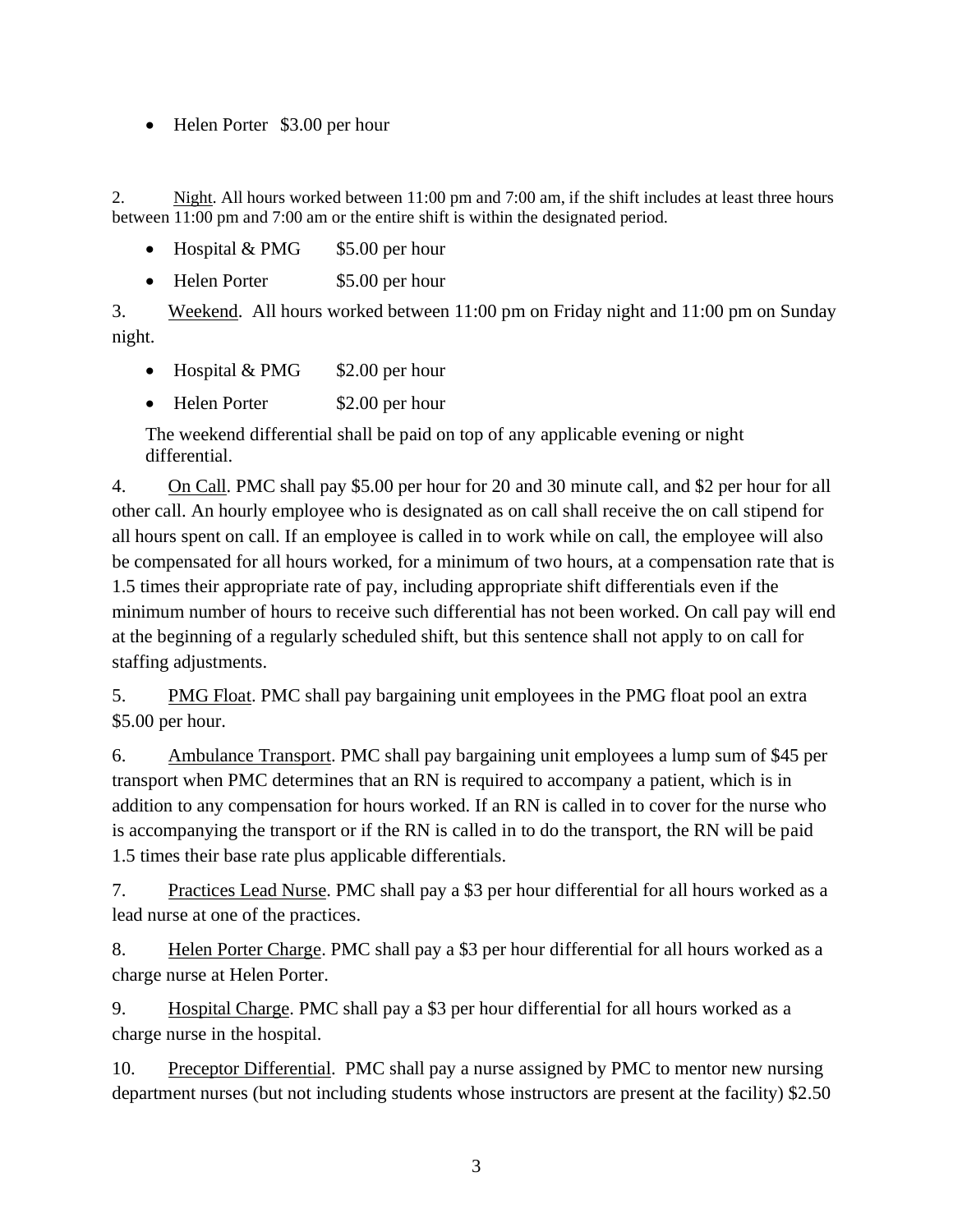• Helen Porter \$3.00 per hour

2. Night. All hours worked between 11:00 pm and 7:00 am, if the shift includes at least three hours between 11:00 pm and 7:00 am or the entire shift is within the designated period.

- Hospital  $& PMG \$  \$5.00 per hour
- Helen Porter \$5.00 per hour

3. Weekend. All hours worked between 11:00 pm on Friday night and 11:00 pm on Sunday night.

- Hospital  $& PMG$  \$2.00 per hour
- Helen Porter \$2.00 per hour

The weekend differential shall be paid on top of any applicable evening or night differential.

4. On Call. PMC shall pay \$5.00 per hour for 20 and 30 minute call, and \$2 per hour for all other call. An hourly employee who is designated as on call shall receive the on call stipend for all hours spent on call. If an employee is called in to work while on call, the employee will also be compensated for all hours worked, for a minimum of two hours, at a compensation rate that is 1.5 times their appropriate rate of pay, including appropriate shift differentials even if the minimum number of hours to receive such differential has not been worked. On call pay will end at the beginning of a regularly scheduled shift, but this sentence shall not apply to on call for staffing adjustments.

5. PMG Float. PMC shall pay bargaining unit employees in the PMG float pool an extra \$5.00 per hour.

6. Ambulance Transport. PMC shall pay bargaining unit employees a lump sum of \$45 per transport when PMC determines that an RN is required to accompany a patient, which is in addition to any compensation for hours worked. If an RN is called in to cover for the nurse who is accompanying the transport or if the RN is called in to do the transport, the RN will be paid 1.5 times their base rate plus applicable differentials.

7. Practices Lead Nurse. PMC shall pay a \$3 per hour differential for all hours worked as a lead nurse at one of the practices.

8. Helen Porter Charge. PMC shall pay a \$3 per hour differential for all hours worked as a charge nurse at Helen Porter.

9. Hospital Charge. PMC shall pay a \$3 per hour differential for all hours worked as a charge nurse in the hospital.

10. Preceptor Differential. PMC shall pay a nurse assigned by PMC to mentor new nursing department nurses (but not including students whose instructors are present at the facility) \$2.50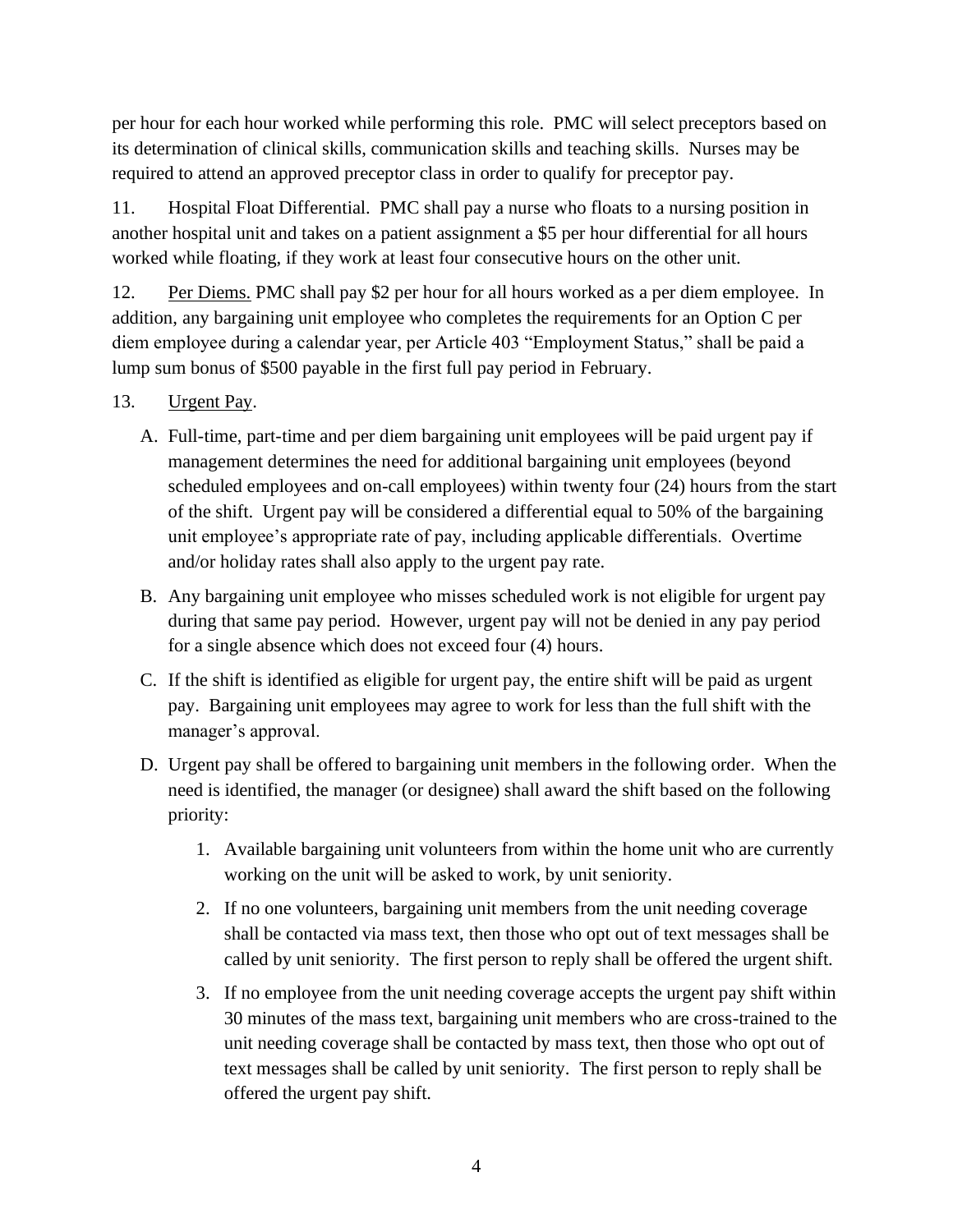per hour for each hour worked while performing this role. PMC will select preceptors based on its determination of clinical skills, communication skills and teaching skills. Nurses may be required to attend an approved preceptor class in order to qualify for preceptor pay.

11. Hospital Float Differential. PMC shall pay a nurse who floats to a nursing position in another hospital unit and takes on a patient assignment a \$5 per hour differential for all hours worked while floating, if they work at least four consecutive hours on the other unit.

12. Per Diems. PMC shall pay \$2 per hour for all hours worked as a per diem employee. In addition, any bargaining unit employee who completes the requirements for an Option C per diem employee during a calendar year, per Article 403 "Employment Status," shall be paid a lump sum bonus of \$500 payable in the first full pay period in February.

### 13. Urgent Pay.

- A. Full-time, part-time and per diem bargaining unit employees will be paid urgent pay if management determines the need for additional bargaining unit employees (beyond scheduled employees and on-call employees) within twenty four (24) hours from the start of the shift. Urgent pay will be considered a differential equal to 50% of the bargaining unit employee's appropriate rate of pay, including applicable differentials. Overtime and/or holiday rates shall also apply to the urgent pay rate.
- B. Any bargaining unit employee who misses scheduled work is not eligible for urgent pay during that same pay period. However, urgent pay will not be denied in any pay period for a single absence which does not exceed four (4) hours.
- C. If the shift is identified as eligible for urgent pay, the entire shift will be paid as urgent pay. Bargaining unit employees may agree to work for less than the full shift with the manager's approval.
- D. Urgent pay shall be offered to bargaining unit members in the following order. When the need is identified, the manager (or designee) shall award the shift based on the following priority:
	- 1. Available bargaining unit volunteers from within the home unit who are currently working on the unit will be asked to work, by unit seniority.
	- 2. If no one volunteers, bargaining unit members from the unit needing coverage shall be contacted via mass text, then those who opt out of text messages shall be called by unit seniority. The first person to reply shall be offered the urgent shift.
	- 3. If no employee from the unit needing coverage accepts the urgent pay shift within 30 minutes of the mass text, bargaining unit members who are cross-trained to the unit needing coverage shall be contacted by mass text, then those who opt out of text messages shall be called by unit seniority. The first person to reply shall be offered the urgent pay shift.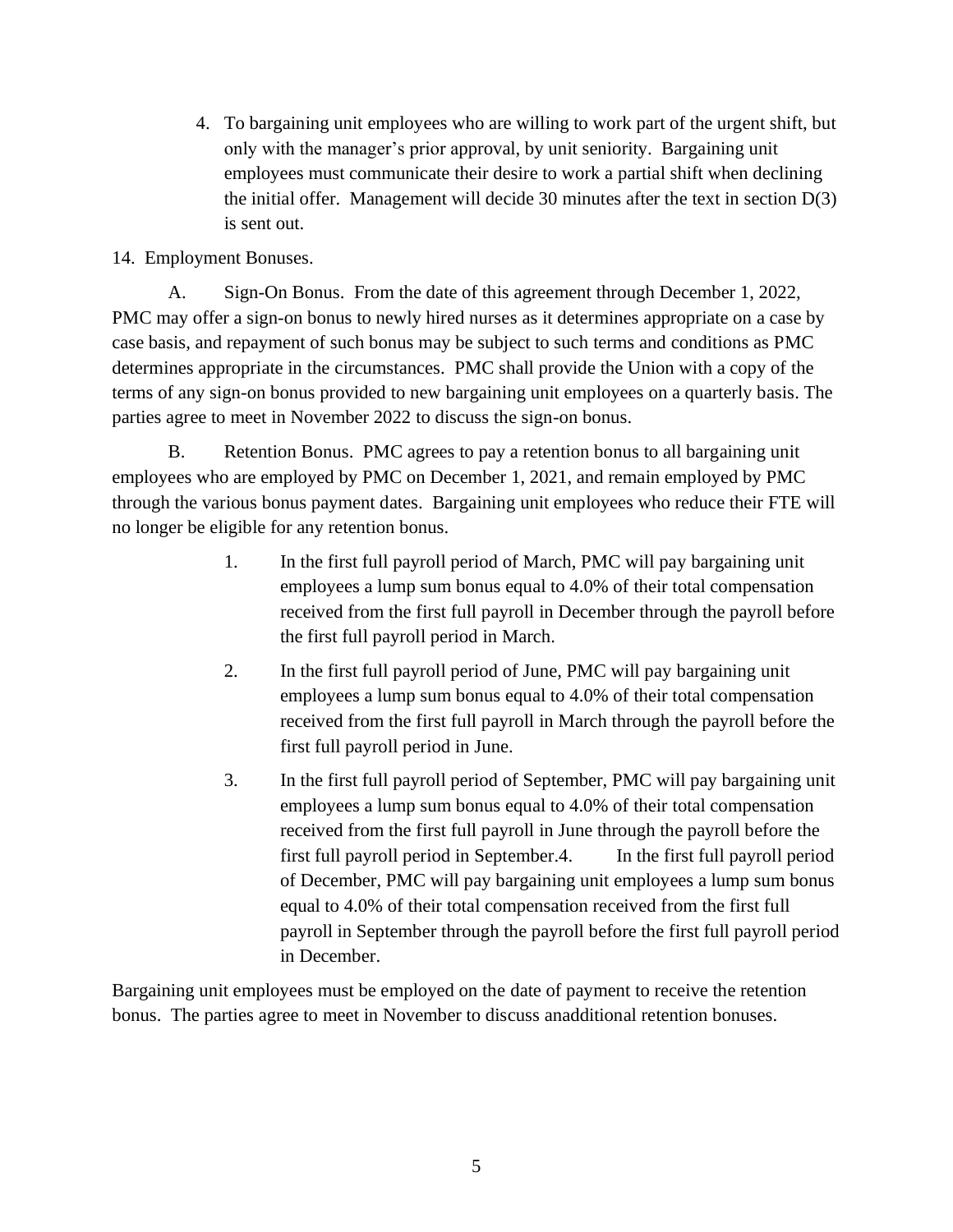4. To bargaining unit employees who are willing to work part of the urgent shift, but only with the manager's prior approval, by unit seniority. Bargaining unit employees must communicate their desire to work a partial shift when declining the initial offer. Management will decide 30 minutes after the text in section D(3) is sent out.

#### 14. Employment Bonuses.

A. Sign-On Bonus. From the date of this agreement through December 1, 2022, PMC may offer a sign-on bonus to newly hired nurses as it determines appropriate on a case by case basis, and repayment of such bonus may be subject to such terms and conditions as PMC determines appropriate in the circumstances. PMC shall provide the Union with a copy of the terms of any sign-on bonus provided to new bargaining unit employees on a quarterly basis. The parties agree to meet in November 2022 to discuss the sign-on bonus.

B. Retention Bonus. PMC agrees to pay a retention bonus to all bargaining unit employees who are employed by PMC on December 1, 2021, and remain employed by PMC through the various bonus payment dates. Bargaining unit employees who reduce their FTE will no longer be eligible for any retention bonus.

- 1. In the first full payroll period of March, PMC will pay bargaining unit employees a lump sum bonus equal to 4.0% of their total compensation received from the first full payroll in December through the payroll before the first full payroll period in March.
- 2. In the first full payroll period of June, PMC will pay bargaining unit employees a lump sum bonus equal to 4.0% of their total compensation received from the first full payroll in March through the payroll before the first full payroll period in June.
- 3. In the first full payroll period of September, PMC will pay bargaining unit employees a lump sum bonus equal to 4.0% of their total compensation received from the first full payroll in June through the payroll before the first full payroll period in September.4. In the first full payroll period of December, PMC will pay bargaining unit employees a lump sum bonus equal to 4.0% of their total compensation received from the first full payroll in September through the payroll before the first full payroll period in December.

Bargaining unit employees must be employed on the date of payment to receive the retention bonus. The parties agree to meet in November to discuss anadditional retention bonuses.